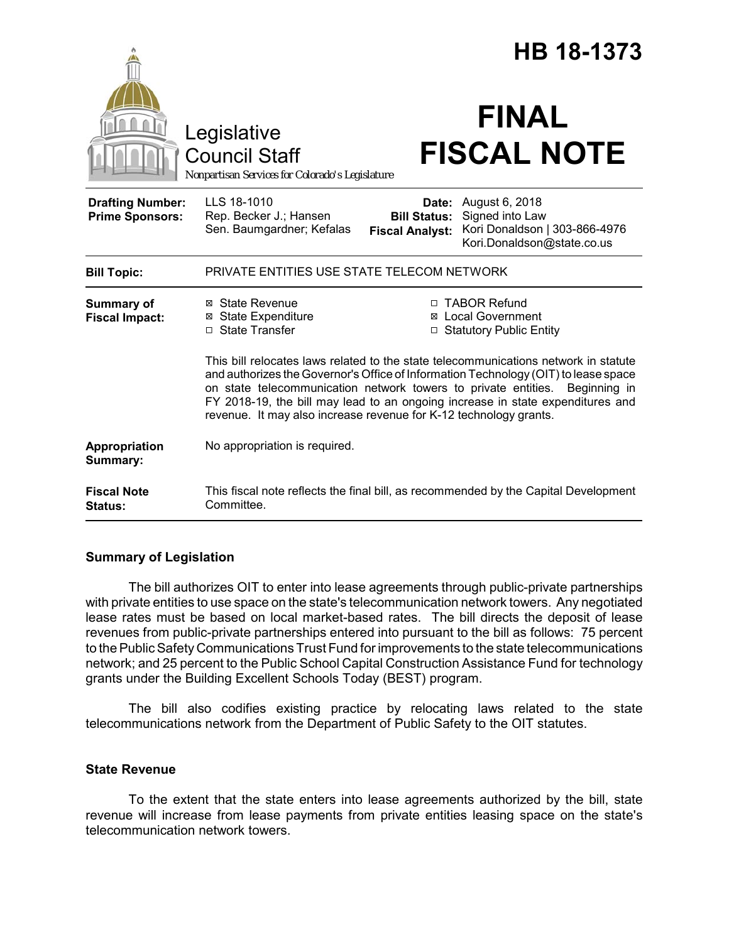|                                                   |                                                                                                                                                                                                                                                                                                                                                                                                                                                                                                                                                                    | HB 18-1373                                             |                                                                                                  |
|---------------------------------------------------|--------------------------------------------------------------------------------------------------------------------------------------------------------------------------------------------------------------------------------------------------------------------------------------------------------------------------------------------------------------------------------------------------------------------------------------------------------------------------------------------------------------------------------------------------------------------|--------------------------------------------------------|--------------------------------------------------------------------------------------------------|
|                                                   | Legislative<br><b>Council Staff</b><br>Nonpartisan Services for Colorado's Legislature                                                                                                                                                                                                                                                                                                                                                                                                                                                                             |                                                        | <b>FINAL</b><br><b>FISCAL NOTE</b>                                                               |
| <b>Drafting Number:</b><br><b>Prime Sponsors:</b> | LLS 18-1010<br>Rep. Becker J.; Hansen<br>Sen. Baumgardner; Kefalas                                                                                                                                                                                                                                                                                                                                                                                                                                                                                                 | Date:<br><b>Bill Status:</b><br><b>Fiscal Analyst:</b> | August 6, 2018<br>Signed into Law<br>Kori Donaldson   303-866-4976<br>Kori.Donaldson@state.co.us |
| <b>Bill Topic:</b>                                | PRIVATE ENTITIES USE STATE TELECOM NETWORK                                                                                                                                                                                                                                                                                                                                                                                                                                                                                                                         |                                                        |                                                                                                  |
| <b>Summary of</b><br><b>Fiscal Impact:</b>        | ⊠ State Revenue<br>□ TABOR Refund<br><b>⊠</b> State Expenditure<br><b>Local Government</b><br>□ State Transfer<br>□ Statutory Public Entity<br>This bill relocates laws related to the state telecommunications network in statute<br>and authorizes the Governor's Office of Information Technology (OIT) to lease space<br>on state telecommunication network towers to private entities.<br>Beginning in<br>FY 2018-19, the bill may lead to an ongoing increase in state expenditures and<br>revenue. It may also increase revenue for K-12 technology grants. |                                                        |                                                                                                  |
| Appropriation<br>Summary:                         | No appropriation is required.                                                                                                                                                                                                                                                                                                                                                                                                                                                                                                                                      |                                                        |                                                                                                  |
| <b>Fiscal Note</b><br><b>Status:</b>              | This fiscal note reflects the final bill, as recommended by the Capital Development<br>Committee.                                                                                                                                                                                                                                                                                                                                                                                                                                                                  |                                                        |                                                                                                  |

## **Summary of Legislation**

The bill authorizes OIT to enter into lease agreements through public-private partnerships with private entities to use space on the state's telecommunication network towers. Any negotiated lease rates must be based on local market-based rates. The bill directs the deposit of lease revenues from public-private partnerships entered into pursuant to the bill as follows: 75 percent to the Public Safety Communications Trust Fund for improvements to the state telecommunications network; and 25 percent to the Public School Capital Construction Assistance Fund for technology grants under the Building Excellent Schools Today (BEST) program.

The bill also codifies existing practice by relocating laws related to the state telecommunications network from the Department of Public Safety to the OIT statutes.

## **State Revenue**

To the extent that the state enters into lease agreements authorized by the bill, state revenue will increase from lease payments from private entities leasing space on the state's telecommunication network towers.